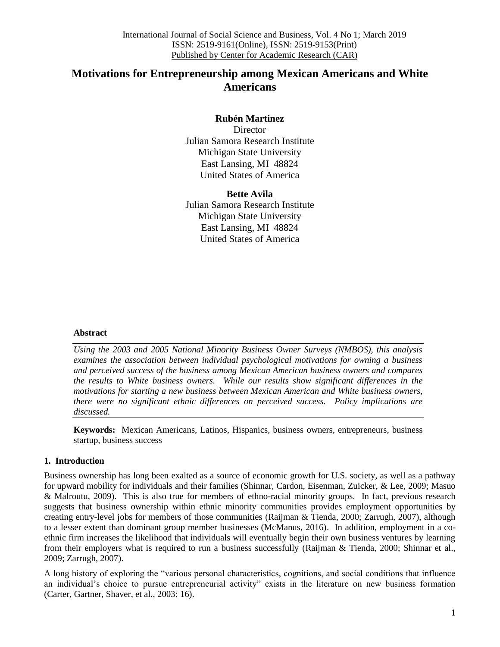# **Motivations for Entrepreneurship among Mexican Americans and White Americans**

# **Rubén Martinez**

**Director** Julian Samora Research Institute Michigan State University East Lansing, MI 48824 United States of America

**Bette Avila** Julian Samora Research Institute Michigan State University East Lansing, MI 48824 United States of America

#### **Abstract**

*Using the 2003 and 2005 National Minority Business Owner Surveys (NMBOS), this analysis examines the association between individual psychological motivations for owning a business and perceived success of the business among Mexican American business owners and compares the results to White business owners. While our results show significant differences in the motivations for starting a new business between Mexican American and White business owners, there were no significant ethnic differences on perceived success. Policy implications are discussed.*

**Keywords:** Mexican Americans, Latinos, Hispanics, business owners, entrepreneurs, business startup, business success

#### **1. Introduction**

Business ownership has long been exalted as a source of economic growth for U.S. society, as well as a pathway for upward mobility for individuals and their families (Shinnar, Cardon, Eisenman, Zuicker, & Lee, 2009; Masuo & Malroutu, 2009). This is also true for members of ethno-racial minority groups. In fact, previous research suggests that business ownership within ethnic minority communities provides employment opportunities by creating entry-level jobs for members of those communities (Raijman & Tienda, 2000; Zarrugh, 2007), although to a lesser extent than dominant group member businesses (McManus, 2016). In addition, employment in a coethnic firm increases the likelihood that individuals will eventually begin their own business ventures by learning from their employers what is required to run a business successfully (Raijman & Tienda, 2000; Shinnar et al., 2009; Zarrugh, 2007).

A long history of exploring the "various personal characteristics, cognitions, and social conditions that influence an individual"s choice to pursue entrepreneurial activity" exists in the literature on new business formation (Carter, Gartner, Shaver, et al., 2003: 16).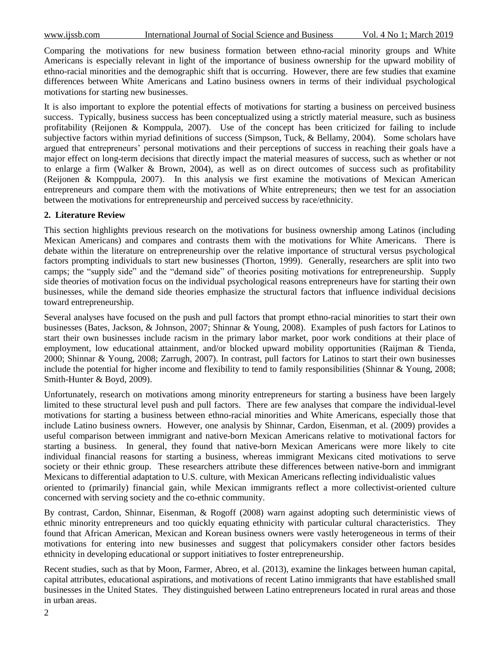Comparing the motivations for new business formation between ethno-racial minority groups and White Americans is especially relevant in light of the importance of business ownership for the upward mobility of ethno-racial minorities and the demographic shift that is occurring. However, there are few studies that examine differences between White Americans and Latino business owners in terms of their individual psychological motivations for starting new businesses.

It is also important to explore the potential effects of motivations for starting a business on perceived business success. Typically, business success has been conceptualized using a strictly material measure, such as business profitability (Reijonen & Komppula, 2007). Use of the concept has been criticized for failing to include subjective factors within myriad definitions of success (Simpson, Tuck, & Bellamy, 2004). Some scholars have argued that entrepreneurs" personal motivations and their perceptions of success in reaching their goals have a major effect on long-term decisions that directly impact the material measures of success, such as whether or not to enlarge a firm (Walker & Brown, 2004), as well as on direct outcomes of success such as profitability (Reijonen & Komppula, 2007). In this analysis we first examine the motivations of Mexican American entrepreneurs and compare them with the motivations of White entrepreneurs; then we test for an association between the motivations for entrepreneurship and perceived success by race/ethnicity.

#### **2. Literature Review**

This section highlights previous research on the motivations for business ownership among Latinos (including Mexican Americans) and compares and contrasts them with the motivations for White Americans. There is debate within the literature on entrepreneurship over the relative importance of structural versus psychological factors prompting individuals to start new businesses (Thorton, 1999). Generally, researchers are split into two camps; the "supply side" and the "demand side" of theories positing motivations for entrepreneurship. Supply side theories of motivation focus on the individual psychological reasons entrepreneurs have for starting their own businesses, while the demand side theories emphasize the structural factors that influence individual decisions toward entrepreneurship.

Several analyses have focused on the push and pull factors that prompt ethno-racial minorities to start their own businesses (Bates, Jackson, & Johnson, 2007; Shinnar & Young, 2008). Examples of push factors for Latinos to start their own businesses include racism in the primary labor market, poor work conditions at their place of employment, low educational attainment, and/or blocked upward mobility opportunities (Raijman & Tienda, 2000; Shinnar & Young, 2008; Zarrugh, 2007). In contrast, pull factors for Latinos to start their own businesses include the potential for higher income and flexibility to tend to family responsibilities (Shinnar & Young, 2008; Smith-Hunter & Boyd, 2009).

Unfortunately, research on motivations among minority entrepreneurs for starting a business have been largely limited to these structural level push and pull factors. There are few analyses that compare the individual-level motivations for starting a business between ethno-racial minorities and White Americans, especially those that include Latino business owners. However, one analysis by Shinnar, Cardon, Eisenman, et al. (2009) provides a useful comparison between immigrant and native-born Mexican Americans relative to motivational factors for starting a business. In general, they found that native-born Mexican Americans were more likely to cite individual financial reasons for starting a business, whereas immigrant Mexicans cited motivations to serve society or their ethnic group. These researchers attribute these differences between native-born and immigrant Mexicans to differential adaptation to U.S. culture, with Mexican Americans reflecting individualistic values oriented to (primarily) financial gain, while Mexican immigrants reflect a more collectivist-oriented culture concerned with serving society and the co-ethnic community.

By contrast, Cardon, Shinnar, Eisenman, & Rogoff (2008) warn against adopting such deterministic views of ethnic minority entrepreneurs and too quickly equating ethnicity with particular cultural characteristics. They found that African American, Mexican and Korean business owners were vastly heterogeneous in terms of their motivations for entering into new businesses and suggest that policymakers consider other factors besides ethnicity in developing educational or support initiatives to foster entrepreneurship.

Recent studies, such as that by Moon, Farmer, Abreo, et al. (2013), examine the linkages between human capital, capital attributes, educational aspirations, and motivations of recent Latino immigrants that have established small businesses in the United States. They distinguished between Latino entrepreneurs located in rural areas and those in urban areas.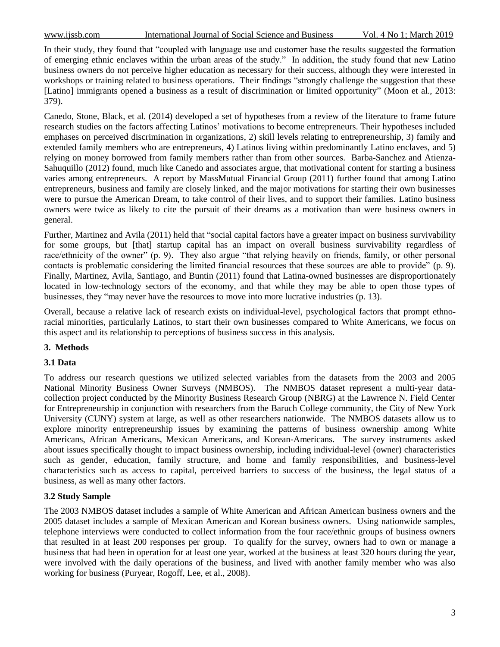In their study, they found that "coupled with language use and customer base the results suggested the formation of emerging ethnic enclaves within the urban areas of the study." In addition, the study found that new Latino business owners do not perceive higher education as necessary for their success, although they were interested in workshops or training related to business operations. Their findings "strongly challenge the suggestion that these [Latino] immigrants opened a business as a result of discrimination or limited opportunity" (Moon et al., 2013: 379).

Canedo, Stone, Black, et al. (2014) developed a set of hypotheses from a review of the literature to frame future research studies on the factors affecting Latinos" motivations to become entrepreneurs. Their hypotheses included emphases on perceived discrimination in organizations, 2) skill levels relating to entrepreneurship, 3) family and extended family members who are entrepreneurs, 4) Latinos living within predominantly Latino enclaves, and 5) relying on money borrowed from family members rather than from other sources. Barba-Sanchez and Atienza-Sahuquillo (2012) found, much like Canedo and associates argue, that motivational content for starting a business varies among entrepreneurs. A report by MassMutual Financial Group (2011) further found that among Latino entrepreneurs, business and family are closely linked, and the major motivations for starting their own businesses were to pursue the American Dream, to take control of their lives, and to support their families. Latino business owners were twice as likely to cite the pursuit of their dreams as a motivation than were business owners in general.

Further, Martinez and Avila (2011) held that "social capital factors have a greater impact on business survivability for some groups, but [that] startup capital has an impact on overall business survivability regardless of race/ethnicity of the owner" (p. 9). They also argue "that relying heavily on friends, family, or other personal contacts is problematic considering the limited financial resources that these sources are able to provide" (p. 9). Finally, Martinez, Avila, Santiago, and Buntin (2011) found that Latina-owned businesses are disproportionately located in low-technology sectors of the economy, and that while they may be able to open those types of businesses, they "may never have the resources to move into more lucrative industries (p. 13).

Overall, because a relative lack of research exists on individual-level, psychological factors that prompt ethnoracial minorities, particularly Latinos, to start their own businesses compared to White Americans, we focus on this aspect and its relationship to perceptions of business success in this analysis.

#### **3. Methods**

#### **3.1 Data**

To address our research questions we utilized selected variables from the datasets from the 2003 and 2005 National Minority Business Owner Surveys (NMBOS). The NMBOS dataset represent a multi-year datacollection project conducted by the Minority Business Research Group (NBRG) at the Lawrence N. Field Center for Entrepreneurship in conjunction with researchers from the Baruch College community, the City of New York University (CUNY) system at large, as well as other researchers nationwide. The NMBOS datasets allow us to explore minority entrepreneurship issues by examining the patterns of business ownership among White Americans, African Americans, Mexican Americans, and Korean-Americans. The survey instruments asked about issues specifically thought to impact business ownership, including individual-level (owner) characteristics such as gender, education, family structure, and home and family responsibilities, and business-level characteristics such as access to capital, perceived barriers to success of the business, the legal status of a business, as well as many other factors.

# **3.2 Study Sample**

The 2003 NMBOS dataset includes a sample of White American and African American business owners and the 2005 dataset includes a sample of Mexican American and Korean business owners. Using nationwide samples, telephone interviews were conducted to collect information from the four race/ethnic groups of business owners that resulted in at least 200 responses per group. To qualify for the survey, owners had to own or manage a business that had been in operation for at least one year, worked at the business at least 320 hours during the year, were involved with the daily operations of the business, and lived with another family member who was also working for business (Puryear, Rogoff, Lee, et al., 2008).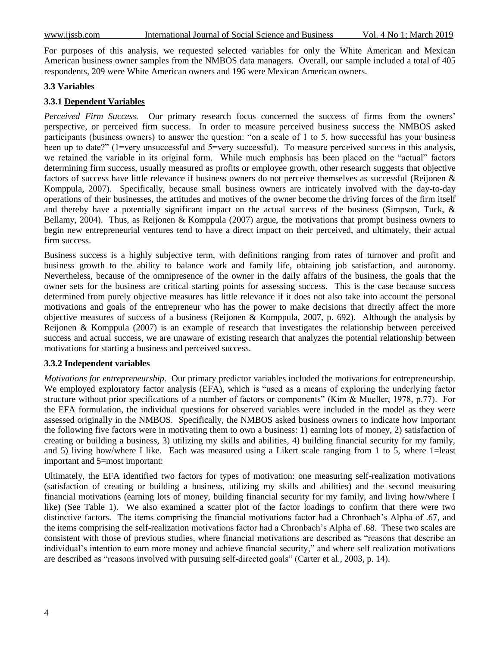For purposes of this analysis, we requested selected variables for only the White American and Mexican American business owner samples from the NMBOS data managers. Overall, our sample included a total of 405 respondents, 209 were White American owners and 196 were Mexican American owners.

#### **3.3 Variables**

#### **3.3.1 Dependent Variables**

*Perceived Firm Success.* Our primary research focus concerned the success of firms from the owners' perspective, or perceived firm success. In order to measure perceived business success the NMBOS asked participants (business owners) to answer the question: "on a scale of 1 to 5, how successful has your business been up to date?" (1=very unsuccessful and 5=very successful). To measure perceived success in this analysis, we retained the variable in its original form. While much emphasis has been placed on the "actual" factors determining firm success, usually measured as profits or employee growth, other research suggests that objective factors of success have little relevance if business owners do not perceive themselves as successful (Reijonen & Komppula, 2007). Specifically, because small business owners are intricately involved with the day-to-day operations of their businesses, the attitudes and motives of the owner become the driving forces of the firm itself and thereby have a potentially significant impact on the actual success of the business (Simpson, Tuck, & Bellamy, 2004). Thus, as Reijonen & Komppula (2007) argue, the motivations that prompt business owners to begin new entrepreneurial ventures tend to have a direct impact on their perceived, and ultimately, their actual firm success.

Business success is a highly subjective term, with definitions ranging from rates of turnover and profit and business growth to the ability to balance work and family life, obtaining job satisfaction, and autonomy. Nevertheless, because of the omnipresence of the owner in the daily affairs of the business, the goals that the owner sets for the business are critical starting points for assessing success. This is the case because success determined from purely objective measures has little relevance if it does not also take into account the personal motivations and goals of the entrepreneur who has the power to make decisions that directly affect the more objective measures of success of a business (Reijonen & Komppula, 2007, p. 692). Although the analysis by Reijonen & Komppula (2007) is an example of research that investigates the relationship between perceived success and actual success, we are unaware of existing research that analyzes the potential relationship between motivations for starting a business and perceived success.

#### **3.3.2 Independent variables**

*Motivations for entrepreneurship*. Our primary predictor variables included the motivations for entrepreneurship. We employed exploratory factor analysis (EFA), which is "used as a means of exploring the underlying factor structure without prior specifications of a number of factors or components" (Kim & Mueller, 1978, p.77). For the EFA formulation, the individual questions for observed variables were included in the model as they were assessed originally in the NMBOS. Specifically, the NMBOS asked business owners to indicate how important the following five factors were in motivating them to own a business: 1) earning lots of money, 2) satisfaction of creating or building a business, 3) utilizing my skills and abilities, 4) building financial security for my family, and 5) living how/where I like. Each was measured using a Likert scale ranging from 1 to 5, where 1=least important and 5=most important:

Ultimately, the EFA identified two factors for types of motivation: one measuring self-realization motivations (satisfaction of creating or building a business, utilizing my skills and abilities) and the second measuring financial motivations (earning lots of money, building financial security for my family, and living how/where I like) (See Table 1). We also examined a scatter plot of the factor loadings to confirm that there were two distinctive factors. The items comprising the financial motivations factor had a Chronbach"s Alpha of .67, and the items comprising the self-realization motivations factor had a Chronbach"s Alpha of .68. These two scales are consistent with those of previous studies, where financial motivations are described as "reasons that describe an individual's intention to earn more money and achieve financial security," and where self realization motivations are described as "reasons involved with pursuing self-directed goals" (Carter et al., 2003, p. 14).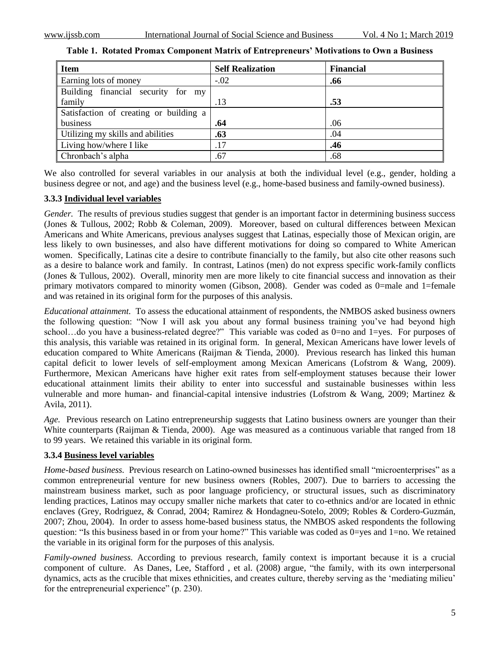| <b>Item</b>                            | <b>Self Realization</b> | <b>Financial</b> |
|----------------------------------------|-------------------------|------------------|
| Earning lots of money                  | $-.02$                  | .66              |
| Building financial security for my     |                         |                  |
| family                                 | .13                     | .53              |
| Satisfaction of creating or building a |                         |                  |
| business                               | .64                     | .06              |
| Utilizing my skills and abilities      | .63                     | .04              |
| Living how/where I like                | .17                     | .46              |
| Chronbach's alpha                      | .67                     | .68              |

**Table 1. Rotated Promax Component Matrix of Entrepreneurs' Motivations to Own a Business**

We also controlled for several variables in our analysis at both the individual level (e.g., gender, holding a business degree or not, and age) and the business level (e.g., home-based business and family-owned business).

# **3.3.3 Individual level variables**

*Gender.* The results of previous studies suggest that gender is an important factor in determining business success (Jones & Tullous, 2002; Robb & Coleman, 2009). Moreover, based on cultural differences between Mexican Americans and White Americans, previous analyses suggest that Latinas, especially those of Mexican origin, are less likely to own businesses, and also have different motivations for doing so compared to White American women. Specifically, Latinas cite a desire to contribute financially to the family, but also cite other reasons such as a desire to balance work and family. In contrast, Latinos (men) do not express specific work-family conflicts (Jones & Tullous, 2002). Overall, minority men are more likely to cite financial success and innovation as their primary motivators compared to minority women (Gibson, 2008). Gender was coded as 0=male and 1=female and was retained in its original form for the purposes of this analysis.

*Educational attainment.* To assess the educational attainment of respondents, the NMBOS asked business owners the following question: "Now I will ask you about any formal business training you"ve had beyond high school…do you have a business-related degree?" This variable was coded as 0=no and 1=yes. For purposes of this analysis, this variable was retained in its original form. In general, Mexican Americans have lower levels of education compared to White Americans (Raijman & Tienda, 2000). Previous research has linked this human capital deficit to lower levels of self-employment among Mexican Americans (Lofstrom & Wang, 2009). Furthermore, Mexican Americans have higher exit rates from self-employment statuses because their lower educational attainment limits their ability to enter into successful and sustainable businesses within less vulnerable and more human- and financial-capital intensive industries (Lofstrom & Wang, 2009; Martinez & Avila, 2011).

*Age.* Previous research on Latino entrepreneurship suggests that Latino business owners are younger than their White counterparts (Raijman & Tienda, 2000). Age was measured as a continuous variable that ranged from 18 to 99 years. We retained this variable in its original form.

# **3.3.4 Business level variables**

*Home-based business.* Previous research on Latino-owned businesses has identified small "microenterprises" as a common entrepreneurial venture for new business owners (Robles, 2007). Due to barriers to accessing the mainstream business market, such as poor language proficiency, or structural issues, such as discriminatory lending practices, Latinos may occupy smaller niche markets that cater to co-ethnics and/or are located in ethnic enclaves (Grey, Rodriguez, & Conrad, 2004; Ramirez & Hondagneu-Sotelo, 2009; Robles & Cordero-Guzmán, 2007; Zhou, 2004). In order to assess home-based business status, the NMBOS asked respondents the following question: "Is this business based in or from your home?" This variable was coded as 0=yes and 1=no. We retained the variable in its original form for the purposes of this analysis.

*Family-owned business.* According to previous research, family context is important because it is a crucial component of culture. As Danes, Lee, Stafford , et al. (2008) argue, "the family, with its own interpersonal dynamics, acts as the crucible that mixes ethnicities, and creates culture, thereby serving as the "mediating milieu" for the entrepreneurial experience" (p. 230).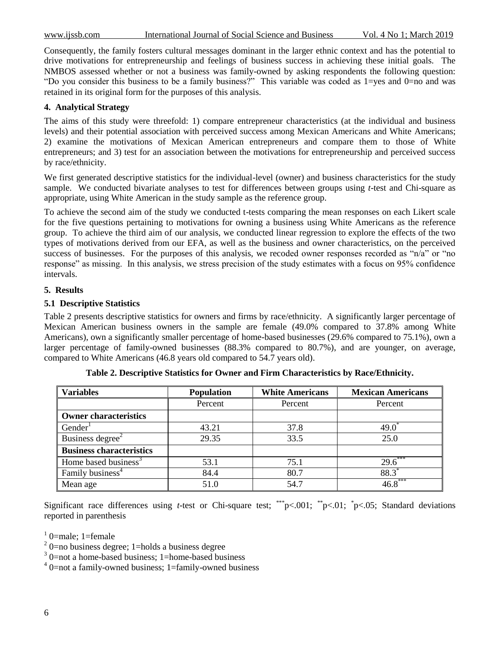Consequently, the family fosters cultural messages dominant in the larger ethnic context and has the potential to drive motivations for entrepreneurship and feelings of business success in achieving these initial goals. The NMBOS assessed whether or not a business was family-owned by asking respondents the following question: "Do you consider this business to be a family business?" This variable was coded as 1=yes and 0=no and was retained in its original form for the purposes of this analysis.

# **4. Analytical Strategy**

The aims of this study were threefold: 1) compare entrepreneur characteristics (at the individual and business levels) and their potential association with perceived success among Mexican Americans and White Americans; 2) examine the motivations of Mexican American entrepreneurs and compare them to those of White entrepreneurs; and 3) test for an association between the motivations for entrepreneurship and perceived success by race/ethnicity.

We first generated descriptive statistics for the individual-level (owner) and business characteristics for the study sample. We conducted bivariate analyses to test for differences between groups using *t*-test and Chi-square as appropriate, using White American in the study sample as the reference group.

To achieve the second aim of the study we conducted t-tests comparing the mean responses on each Likert scale for the five questions pertaining to motivations for owning a business using White Americans as the reference group. To achieve the third aim of our analysis, we conducted linear regression to explore the effects of the two types of motivations derived from our EFA, as well as the business and owner characteristics, on the perceived success of businesses. For the purposes of this analysis, we recoded owner responses recorded as "n/a" or "no response" as missing. In this analysis, we stress precision of the study estimates with a focus on 95% confidence intervals.

# **5. Results**

# **5.1 Descriptive Statistics**

Table 2 presents descriptive statistics for owners and firms by race/ethnicity. A significantly larger percentage of Mexican American business owners in the sample are female (49.0% compared to 37.8% among White Americans), own a significantly smaller percentage of home-based businesses (29.6% compared to 75.1%), own a larger percentage of family-owned businesses (88.3% compared to 80.7%), and are younger, on average, compared to White Americans (46.8 years old compared to 54.7 years old).

| <b>Variables</b>                 | <b>Population</b> | <b>White Americans</b> | <b>Mexican Americans</b> |
|----------------------------------|-------------------|------------------------|--------------------------|
|                                  | Percent           | Percent                | Percent                  |
| <b>Owner characteristics</b>     |                   |                        |                          |
| Gender <sup>1</sup>              | 43.21             | 37.8                   | $49.0^{\degree}$         |
| Business degree <sup>2</sup>     | 29.35             | 33.5                   | 25.0                     |
| <b>Business characteristics</b>  |                   |                        |                          |
| Home based business <sup>3</sup> | 53.1              | 75.1                   | $29.6^*$                 |
| Family business <sup>4</sup>     | 84.4              | 80.7                   | $88.3*$                  |
| Mean age                         | 51.0              | 54.7                   | $46.8***$                |

**Table 2. Descriptive Statistics for Owner and Firm Characteristics by Race/Ethnicity.**

Significant race differences using *t*-test or Chi-square test; \*\*\*p $< .001$ ; \*p $< .01$ ; \*p $< .05$ ; Standard deviations reported in parenthesis

 $1<sup>1</sup>$  0=male; 1=female

<sup>3</sup> 0=not a home-based business; 1=home-based business

<sup>4</sup> 0=not a family-owned business; 1=family-owned business

 $2$  0=no business degree; 1=holds a business degree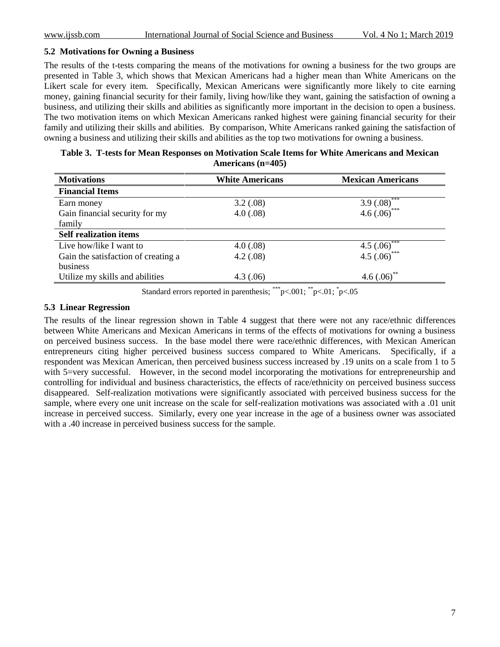#### **5.2 Motivations for Owning a Business**

The results of the t-tests comparing the means of the motivations for owning a business for the two groups are presented in Table 3, which shows that Mexican Americans had a higher mean than White Americans on the Likert scale for every item. Specifically, Mexican Americans were significantly more likely to cite earning money, gaining financial security for their family, living how/like they want, gaining the satisfaction of owning a business, and utilizing their skills and abilities as significantly more important in the decision to open a business. The two motivation items on which Mexican Americans ranked highest were gaining financial security for their family and utilizing their skills and abilities. By comparison, White Americans ranked gaining the satisfaction of owning a business and utilizing their skills and abilities as the top two motivations for owning a business.

| Table 3. T-tests for Mean Responses on Motivation Scale Items for White Americans and Mexican |
|-----------------------------------------------------------------------------------------------|
| Americans $(n=405)$                                                                           |

| <b>Motivations</b>                  | <b>White Americans</b> | <b>Mexican Americans</b> |  |
|-------------------------------------|------------------------|--------------------------|--|
| <b>Financial Items</b>              |                        |                          |  |
| Earn money                          | 3.2(.08)               | ***<br>3.9(.08)          |  |
| Gain financial security for my      | 4.0(0.08)              | ***<br>4.6(.06)          |  |
| family                              |                        |                          |  |
| <b>Self realization items</b>       |                        |                          |  |
| Live how/like I want to             | 4.0(0.08)              | 4.5 $(.06)$ <sup>*</sup> |  |
| Gain the satisfaction of creating a | 4.2(.08)               | 4.5 $(.06)$ ***          |  |
| business                            |                        |                          |  |
| Utilize my skills and abilities     | 4.3(0.06)              | 4.6(.06)                 |  |

Standard errors reported in parenthesis;  $\binom{***}{1}$   $\lt$ .001;  $\binom{*}{1}$   $\lt$ .01;  $\binom{*}{1}$   $\lt$ .05

#### **5.3 Linear Regression**

The results of the linear regression shown in Table 4 suggest that there were not any race/ethnic differences between White Americans and Mexican Americans in terms of the effects of motivations for owning a business on perceived business success. In the base model there were race/ethnic differences, with Mexican American entrepreneurs citing higher perceived business success compared to White Americans. Specifically, if a respondent was Mexican American, then perceived business success increased by .19 units on a scale from 1 to 5 with 5=very successful. However, in the second model incorporating the motivations for entrepreneurship and controlling for individual and business characteristics, the effects of race/ethnicity on perceived business success disappeared. Self-realization motivations were significantly associated with perceived business success for the sample, where every one unit increase on the scale for self-realization motivations was associated with a .01 unit increase in perceived success. Similarly, every one year increase in the age of a business owner was associated with a .40 increase in perceived business success for the sample.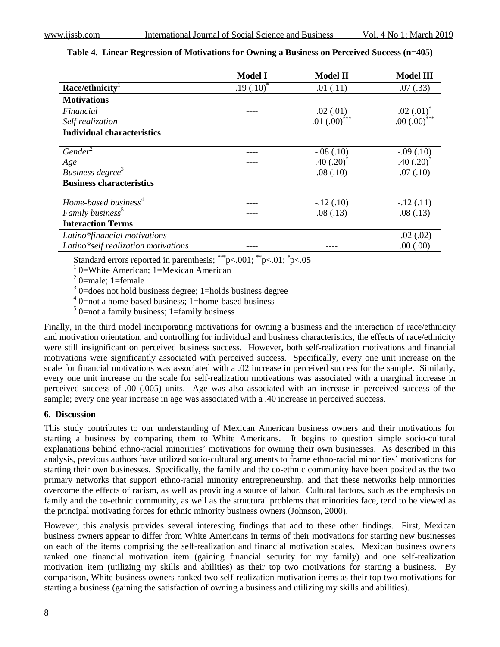|                                     | <b>Model I</b> | <b>Model II</b> | <b>Model III</b> |
|-------------------------------------|----------------|-----------------|------------------|
| Race/ethnicity <sup>1</sup>         | $.19(.10)^*$   | .01(.11)        | .07(.33)         |
| <b>Motivations</b>                  |                |                 |                  |
| Financial                           |                | .02(.01)        | .02(.01)         |
| Self realization                    |                | $.01 (.00)$ *** | $.00(.00)$ ***   |
| <b>Individual characteristics</b>   |                |                 |                  |
|                                     |                |                 |                  |
| Gender <sup>2</sup>                 |                | $-.08(.10)$     | $-.09(.10)$      |
| Age                                 |                | .40(.20)        | $.40(.20)^*$     |
| Business degree <sup>3</sup>        |                | .08(.10)        | .07(.10)         |
| <b>Business characteristics</b>     |                |                 |                  |
| Home-based business <sup>4</sup>    |                | $-.12(.10)$     | $-.12(.11)$      |
| Family business <sup>5</sup>        |                | .08(.13)        | .08(.13)         |
| <b>Interaction Terms</b>            |                |                 |                  |
| Latino*financial motivations        |                |                 | $-.02(.02)$      |
| Latino*self realization motivations |                |                 | .00(.00)         |

#### **Table 4. Linear Regression of Motivations for Owning a Business on Perceived Success (n=405)**

Standard errors reported in parenthesis;  $\sqrt[**]{8}$  = 0.001;  $\sqrt[**]{8}$  = 0.05

<sup>1</sup> 0=White American; 1=Mexican American

 $2$  0=male; 1=female

<sup>3</sup> 0=does not hold business degree; 1=holds business degree

4 0=not a home-based business; 1=home-based business

 $5$  0=not a family business; 1=family business

Finally, in the third model incorporating motivations for owning a business and the interaction of race/ethnicity and motivation orientation, and controlling for individual and business characteristics, the effects of race/ethnicity were still insignificant on perceived business success. However, both self-realization motivations and financial motivations were significantly associated with perceived success. Specifically, every one unit increase on the scale for financial motivations was associated with a .02 increase in perceived success for the sample. Similarly, every one unit increase on the scale for self-realization motivations was associated with a marginal increase in perceived success of .00 (.005) units. Age was also associated with an increase in perceived success of the sample; every one year increase in age was associated with a .40 increase in perceived success.

#### **6. Discussion**

This study contributes to our understanding of Mexican American business owners and their motivations for starting a business by comparing them to White Americans. It begins to question simple socio-cultural explanations behind ethno-racial minorities' motivations for owning their own businesses. As described in this analysis, previous authors have utilized socio-cultural arguments to frame ethno-racial minorities' motivations for starting their own businesses. Specifically, the family and the co-ethnic community have been posited as the two primary networks that support ethno-racial minority entrepreneurship, and that these networks help minorities overcome the effects of racism, as well as providing a source of labor. Cultural factors, such as the emphasis on family and the co-ethnic community, as well as the structural problems that minorities face, tend to be viewed as the principal motivating forces for ethnic minority business owners (Johnson, 2000).

However, this analysis provides several interesting findings that add to these other findings. First, Mexican business owners appear to differ from White Americans in terms of their motivations for starting new businesses on each of the items comprising the self-realization and financial motivation scales. Mexican business owners ranked one financial motivation item (gaining financial security for my family) and one self-realization motivation item (utilizing my skills and abilities) as their top two motivations for starting a business. By comparison, White business owners ranked two self-realization motivation items as their top two motivations for starting a business (gaining the satisfaction of owning a business and utilizing my skills and abilities).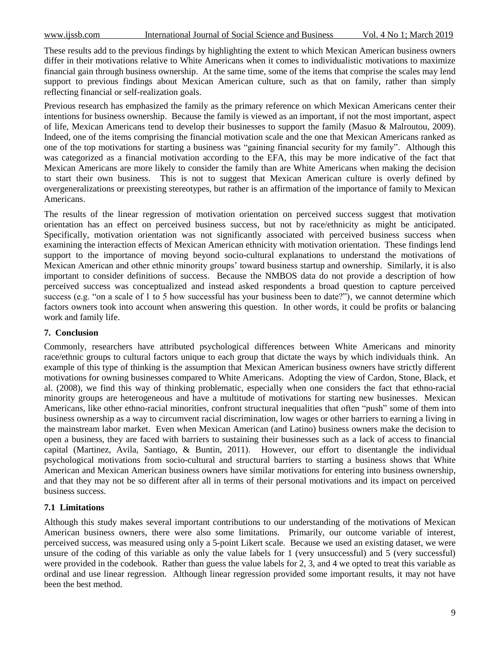These results add to the previous findings by highlighting the extent to which Mexican American business owners differ in their motivations relative to White Americans when it comes to individualistic motivations to maximize financial gain through business ownership. At the same time, some of the items that comprise the scales may lend support to previous findings about Mexican American culture, such as that on family, rather than simply reflecting financial or self-realization goals.

Previous research has emphasized the family as the primary reference on which Mexican Americans center their intentions for business ownership. Because the family is viewed as an important, if not the most important, aspect of life, Mexican Americans tend to develop their businesses to support the family (Masuo & Malroutou, 2009). Indeed, one of the items comprising the financial motivation scale and the one that Mexican Americans ranked as one of the top motivations for starting a business was "gaining financial security for my family". Although this was categorized as a financial motivation according to the EFA, this may be more indicative of the fact that Mexican Americans are more likely to consider the family than are White Americans when making the decision to start their own business. This is not to suggest that Mexican American culture is overly defined by overgeneralizations or preexisting stereotypes, but rather is an affirmation of the importance of family to Mexican Americans.

The results of the linear regression of motivation orientation on perceived success suggest that motivation orientation has an effect on perceived business success, but not by race/ethnicity as might be anticipated. Specifically, motivation orientation was not significantly associated with perceived business success when examining the interaction effects of Mexican American ethnicity with motivation orientation. These findings lend support to the importance of moving beyond socio-cultural explanations to understand the motivations of Mexican American and other ethnic minority groups" toward business startup and ownership. Similarly, it is also important to consider definitions of success. Because the NMBOS data do not provide a description of how perceived success was conceptualized and instead asked respondents a broad question to capture perceived success (e.g. "on a scale of 1 to 5 how successful has your business been to date?"), we cannot determine which factors owners took into account when answering this question. In other words, it could be profits or balancing work and family life.

#### **7. Conclusion**

Commonly, researchers have attributed psychological differences between White Americans and minority race/ethnic groups to cultural factors unique to each group that dictate the ways by which individuals think. An example of this type of thinking is the assumption that Mexican American business owners have strictly different motivations for owning businesses compared to White Americans. Adopting the view of Cardon, Stone, Black, et al. (2008), we find this way of thinking problematic, especially when one considers the fact that ethno-racial minority groups are heterogeneous and have a multitude of motivations for starting new businesses. Mexican Americans, like other ethno-racial minorities, confront structural inequalities that often "push" some of them into business ownership as a way to circumvent racial discrimination, low wages or other barriers to earning a living in the mainstream labor market. Even when Mexican American (and Latino) business owners make the decision to open a business, they are faced with barriers to sustaining their businesses such as a lack of access to financial capital (Martinez, Avila, Santiago, & Buntin, 2011). However, our effort to disentangle the individual psychological motivations from socio-cultural and structural barriers to starting a business shows that White American and Mexican American business owners have similar motivations for entering into business ownership, and that they may not be so different after all in terms of their personal motivations and its impact on perceived business success.

#### **7.1 Limitations**

Although this study makes several important contributions to our understanding of the motivations of Mexican American business owners, there were also some limitations. Primarily, our outcome variable of interest, perceived success, was measured using only a 5-point Likert scale. Because we used an existing dataset, we were unsure of the coding of this variable as only the value labels for 1 (very unsuccessful) and 5 (very successful) were provided in the codebook. Rather than guess the value labels for 2, 3, and 4 we opted to treat this variable as ordinal and use linear regression. Although linear regression provided some important results, it may not have been the best method.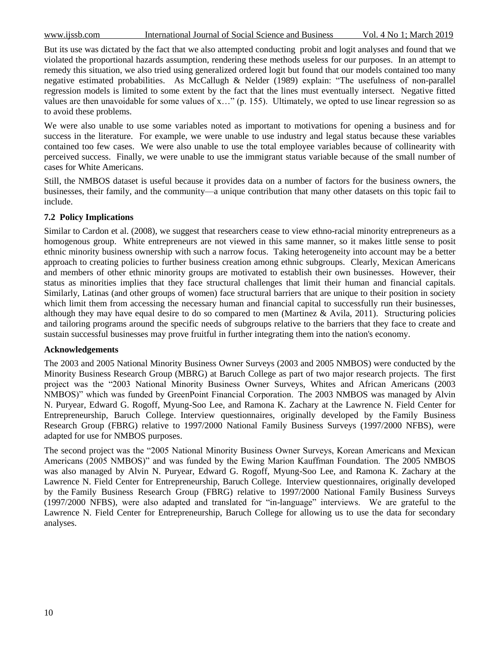But its use was dictated by the fact that we also attempted conducting probit and logit analyses and found that we violated the proportional hazards assumption, rendering these methods useless for our purposes. In an attempt to remedy this situation, we also tried using generalized ordered logit but found that our models contained too many negative estimated probabilities. As McCallugh & Nelder (1989) explain: "The usefulness of non-parallel regression models is limited to some extent by the fact that the lines must eventually intersect. Negative fitted values are then unavoidable for some values of x…" (p. 155). Ultimately, we opted to use linear regression so as to avoid these problems.

We were also unable to use some variables noted as important to motivations for opening a business and for success in the literature. For example, we were unable to use industry and legal status because these variables contained too few cases. We were also unable to use the total employee variables because of collinearity with perceived success. Finally, we were unable to use the immigrant status variable because of the small number of cases for White Americans.

Still, the NMBOS dataset is useful because it provides data on a number of factors for the business owners, the businesses, their family, and the community—a unique contribution that many other datasets on this topic fail to include.

# **7.2 Policy Implications**

Similar to Cardon et al. (2008), we suggest that researchers cease to view ethno-racial minority entrepreneurs as a homogenous group. White entrepreneurs are not viewed in this same manner, so it makes little sense to posit ethnic minority business ownership with such a narrow focus. Taking heterogeneity into account may be a better approach to creating policies to further business creation among ethnic subgroups. Clearly, Mexican Americans and members of other ethnic minority groups are motivated to establish their own businesses. However, their status as minorities implies that they face structural challenges that limit their human and financial capitals. Similarly, Latinas (and other groups of women) face structural barriers that are unique to their position in society which limit them from accessing the necessary human and financial capital to successfully run their businesses, although they may have equal desire to do so compared to men (Martinez & Avila, 2011). Structuring policies and tailoring programs around the specific needs of subgroups relative to the barriers that they face to create and sustain successful businesses may prove fruitful in further integrating them into the nation's economy.

#### **Acknowledgements**

The 2003 and 2005 National Minority Business Owner Surveys (2003 and 2005 NMBOS) were conducted by the Minority Business Research Group (MBRG) at Baruch College as part of two major research projects. The first project was the "2003 National Minority Business Owner Surveys, Whites and African Americans (2003 NMBOS)" which was funded by GreenPoint Financial Corporation. The 2003 NMBOS was managed by Alvin N. Puryear, Edward G. Rogoff, Myung-Soo Lee, and Ramona K. Zachary at the Lawrence N. Field Center for Entrepreneurship, Baruch College. Interview questionnaires, originally developed by the Family Business Research Group (FBRG) relative to 1997/2000 National Family Business Surveys (1997/2000 NFBS), were adapted for use for NMBOS purposes.

The second project was the "2005 National Minority Business Owner Surveys, Korean Americans and Mexican Americans (2005 NMBOS)" and was funded by the Ewing Marion Kauffman Foundation. The 2005 NMBOS was also managed by Alvin N. Puryear, Edward G. Rogoff, Myung-Soo Lee, and Ramona K. Zachary at the Lawrence N. Field Center for Entrepreneurship, Baruch College. Interview questionnaires, originally developed by the Family Business Research Group (FBRG) relative to 1997/2000 National Family Business Surveys (1997/2000 NFBS), were also adapted and translated for "in-language" interviews. We are grateful to the Lawrence N. Field Center for Entrepreneurship, Baruch College for allowing us to use the data for secondary analyses.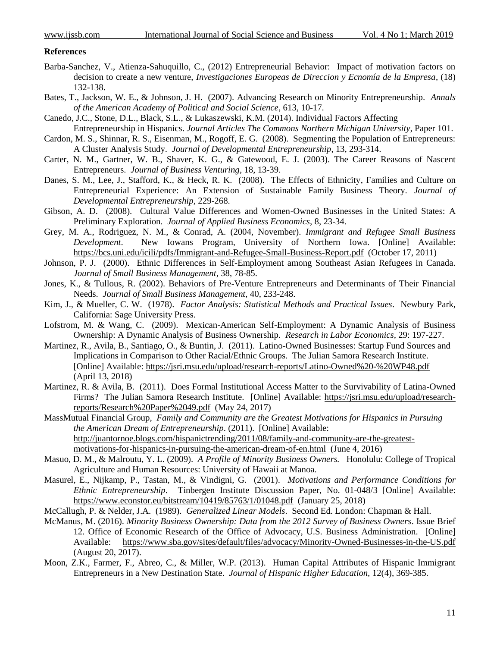#### **References**

- Barba-Sanchez, V., Atienza-Sahuquillo, C., (2012) Entrepreneurial Behavior: Impact of motivation factors on decision to create a new venture, *Investigaciones Europeas de Direccion y Ecnomía de la Empresa*, (18) 132-138.
- Bates, T., Jackson, W. E., & Johnson, J. H. (2007). Advancing Research on Minority Entrepreneurship. *Annals of the American Academy of Political and Social Science*, 613, 10-17.
- Canedo, J.C., Stone, D.L., Black, S.L., & Lukaszewski, K.M. (2014). Individual Factors Affecting Entrepreneurship in Hispanics. *Journal Articles The Commons Northern Michigan University,* Paper 101.
- Cardon, M. S., Shinnar, R. S., Eisenman, M., Rogoff, E. G. (2008). Segmenting the Population of Entrepreneurs: A Cluster Analysis Study. *Journal of Developmental Entrepreneurship*, 13, 293-314.
- Carter, N. M., Gartner, W. B., Shaver, K. G., & Gatewood, E. J. (2003). The Career Reasons of Nascent Entrepreneurs. *Journal of Business Venturing*, 18, 13-39.
- Danes, S. M., Lee, J., Stafford, K., & Heck, R. K. (2008). The Effects of Ethnicity, Families and Culture on Entrepreneurial Experience: An Extension of Sustainable Family Business Theory. *Journal of Developmental Entrepreneurship*, 229-268.
- Gibson, A. D. (2008). Cultural Value Differences and Women-Owned Businesses in the United States: A Preliminary Exploration. *Journal of Applied Business Economics*, 8, 23-34.
- Grey, M. A., Rodriguez, N. M., & Conrad, A. (2004, November). *Immigrant and Refugee Small Business Development*. New Iowans Program, University of Northern Iowa. [Online] Available: <https://bcs.uni.edu/icili/pdfs/Immigrant-and-Refugee-Small-Business-Report.pdf> (October 17, 2011)
- Johnson, P. J. (2000). Ethnic Differences in Self-Employment among Southeast Asian Refugees in Canada. *Journal of Small Business Management*, 38, 78-85.
- Jones, K., & Tullous, R. (2002). Behaviors of Pre-Venture Entrepreneurs and Determinants of Their Financial Needs. *Journal of Small Business Management*, 40, 233-248.
- Kim, J., & Mueller, C. W. (1978). *Factor Analysis: Statistical Methods and Practical Issues*. Newbury Park, California: Sage University Press.
- Lofstrom, M. & Wang, C. (2009). Mexican-American Self-Employment: A Dynamic Analysis of Business Ownership: A Dynamic Analysis of Business Ownership. *Research in Labor Economics,* 29: 197-227.
- Martinez, R., Avila, B., Santiago, O., & Buntin, J. (2011). Latino-Owned Businesses: Startup Fund Sources and Implications in Comparison to Other Racial/Ethnic Groups. The Julian Samora Research Institute. [Online] Available: <https://jsri.msu.edu/upload/research-reports/Latino-Owned%20-%20WP48.pdf> (April 13, 2018)
- Martinez, R. & Avila, B. (2011). Does Formal Institutional Access Matter to the Survivability of Latina-Owned Firms? The Julian Samora Research Institute. [Online] Available: [https://jsri.msu.edu/upload/research](https://jsri.msu.edu/upload/research-reports/Research%20Paper%2049.pdf)[reports/Research%20Paper%2049.pdf](https://jsri.msu.edu/upload/research-reports/Research%20Paper%2049.pdf) (May 24, 2017)
- MassMutual Financial Group, *Family and Community are the Greatest Motivations for Hispanics in Pursuing the American Dream of Entrepreneurship*. (2011). [Online] Available: [http://juantornoe.blogs.com/hispanictrending/2011/08/family-and-community-are-the-greatest](http://juantornoe.blogs.com/hispanictrending/2011/08/family-and-community-are-the-greatest-motivations-for-hispanics-in-pursuing-the-american-dream-of-en.html)[motivations-for-hispanics-in-pursuing-the-american-dream-of-en.html](http://juantornoe.blogs.com/hispanictrending/2011/08/family-and-community-are-the-greatest-motivations-for-hispanics-in-pursuing-the-american-dream-of-en.html) (June 4, 2016)
- Masuo, D. M., & Malroutu, Y. L. (2009). *A Profile of Minority Business Owners.* Honolulu: College of Tropical Agriculture and Human Resources: University of Hawaii at Manoa.
- Masurel, E., Nijkamp, P., Tastan, M., & Vindigni, G. (2001). *Motivations and Performance Conditions for Ethnic Entrepreneurship*. Tinbergen Institute Discussion Paper, No. 01-048/3 [Online] Available: <https://www.econstor.eu/bitstream/10419/85763/1/01048.pdf> (January 25, 2018)
- McCallugh, P. & Nelder, J.A. (1989). *Generalized Linear Models*. Second Ed. London: Chapman & Hall.
- McManus, M. (2016). *Minority Business Ownership: Data from the 2012 Survey of Business Owners*. Issue Brief 12. Office of Economic Research of the Office of Advocacy, U.S. Business Administration. [Online] Available: <https://www.sba.gov/sites/default/files/advocacy/Minority-Owned-Businesses-in-the-US.pdf> (August 20, 2017).
- Moon, Z.K., Farmer, F., Abreo, C., & Miller, W.P. (2013). Human Capital Attributes of Hispanic Immigrant Entrepreneurs in a New Destination State. *Journal of Hispanic Higher Education,* 12(4), 369-385.